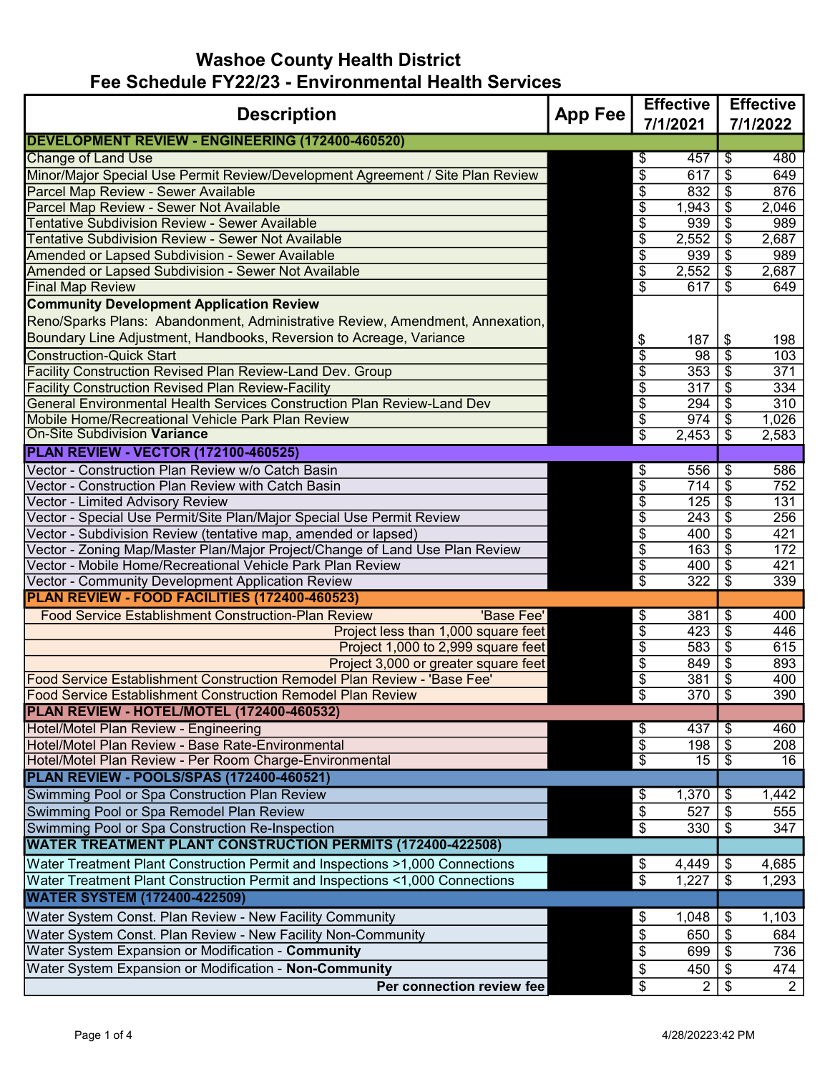## Washoe County Health District Fee Schedule FY22/23 - Environmental Health Services

| <b>Description</b><br><b>App Fee</b>                                                                                                                         |  | <b>Effective</b>                                                               |                 | <b>Effective</b>                             |  |
|--------------------------------------------------------------------------------------------------------------------------------------------------------------|--|--------------------------------------------------------------------------------|-----------------|----------------------------------------------|--|
|                                                                                                                                                              |  | 7/1/2021                                                                       |                 | 7/1/2022                                     |  |
| DEVELOPMENT REVIEW - ENGINEERING (172400-460520)                                                                                                             |  |                                                                                |                 |                                              |  |
| <b>Change of Land Use</b>                                                                                                                                    |  | 457<br>\$                                                                      |                 | 480<br>\$                                    |  |
| Minor/Major Special Use Permit Review/Development Agreement / Site Plan Review                                                                               |  | \$<br>617                                                                      |                 | \$<br>649                                    |  |
| Parcel Map Review - Sewer Available                                                                                                                          |  | $\overline{\theta}$<br>832                                                     |                 | $\overline{\$}$<br>876                       |  |
| Parcel Map Review - Sewer Not Available                                                                                                                      |  | $\overline{\$}$<br>1,943                                                       |                 | $\overline{\$}$<br>2,046                     |  |
| Tentative Subdivision Review - Sewer Available                                                                                                               |  | $\overline{\mathbf{S}}$<br>939                                                 |                 | \$<br>989                                    |  |
| <b>Tentative Subdivision Review - Sewer Not Available</b>                                                                                                    |  | $\overline{\$}$<br>2,552                                                       |                 | \$<br>2,687                                  |  |
| <b>Amended or Lapsed Subdivision - Sewer Available</b>                                                                                                       |  | $\overline{\$}$<br>939                                                         |                 | \$<br>989                                    |  |
| Amended or Lapsed Subdivision - Sewer Not Available                                                                                                          |  | \$<br>2,552                                                                    |                 | \$<br>2,687                                  |  |
| <b>Final Map Review</b>                                                                                                                                      |  | $\overline{\$}$<br>617                                                         |                 | \$<br>649                                    |  |
| <b>Community Development Application Review</b>                                                                                                              |  |                                                                                |                 |                                              |  |
| Reno/Sparks Plans: Abandonment, Administrative Review, Amendment, Annexation,                                                                                |  |                                                                                |                 |                                              |  |
| Boundary Line Adjustment, Handbooks, Reversion to Acreage, Variance                                                                                          |  | \$<br>187                                                                      |                 | \$<br>198                                    |  |
| <b>Construction-Quick Start</b>                                                                                                                              |  | $\overline{\$}$<br>98                                                          |                 | $\overline{\$}$<br>103                       |  |
| <b>Facility Construction Revised Plan Review-Land Dev. Group</b>                                                                                             |  | $\overline{\$}$<br>353                                                         |                 | \$<br>371                                    |  |
| <b>Facility Construction Revised Plan Review-Facility</b>                                                                                                    |  | $\sqrt[6]{\frac{1}{2}}$<br>317                                                 |                 | $\overline{\mathcal{L}}$<br>334              |  |
| General Environmental Health Services Construction Plan Review-Land Dev                                                                                      |  | $\overline{\$}$<br>294                                                         | $\overline{\$}$ | 310                                          |  |
| Mobile Home/Recreational Vehicle Park Plan Review                                                                                                            |  | \$<br>974                                                                      |                 | \$<br>1,026                                  |  |
| <b>On-Site Subdivision Variance</b>                                                                                                                          |  | $\overline{\$}$<br>2,453                                                       |                 | $\overline{\mathcal{S}}$<br>2,583            |  |
| <b>PLAN REVIEW - VECTOR (172100-460525)</b>                                                                                                                  |  |                                                                                |                 |                                              |  |
| Vector - Construction Plan Review w/o Catch Basin                                                                                                            |  | \$<br>556                                                                      |                 | \$<br>586                                    |  |
| Vector - Construction Plan Review with Catch Basin                                                                                                           |  | $\overline{\$}$<br>714                                                         |                 | \$<br>752                                    |  |
| Vector - Limited Advisory Review                                                                                                                             |  | $\overline{\$}$<br>125                                                         |                 | $\overline{\$}$<br>131                       |  |
| Vector - Special Use Permit/Site Plan/Major Special Use Permit Review                                                                                        |  | $\sqrt[6]{\frac{1}{2}}$<br>243                                                 |                 | $\sqrt{3}$<br>256                            |  |
| Vector - Subdivision Review (tentative map, amended or lapsed)                                                                                               |  | $\overline{\$}$<br>400                                                         |                 | $\overline{\$}$<br>421                       |  |
| Vector - Zoning Map/Master Plan/Major Project/Change of Land Use Plan Review                                                                                 |  | \$<br>163                                                                      |                 | \$<br>172                                    |  |
| Vector - Mobile Home/Recreational Vehicle Park Plan Review                                                                                                   |  | $\overline{\theta}$<br>400                                                     |                 | \$<br>421                                    |  |
| Vector - Community Development Application Review                                                                                                            |  | $\overline{\$}$<br>$\overline{322}$                                            |                 | $\overline{\$}$<br>339                       |  |
| PLAN REVIEW - FOOD FACILITIES (172400-460523)                                                                                                                |  |                                                                                |                 |                                              |  |
| <b>Food Service Establishment Construction-Plan Review</b><br>'Base Fee'                                                                                     |  | 381<br>\$                                                                      |                 | \$<br>400                                    |  |
| Project less than 1,000 square feet                                                                                                                          |  | $\overline{\$}$<br>423                                                         | $\overline{\$}$ | 446                                          |  |
| Project 1,000 to 2,999 square feet                                                                                                                           |  | \$<br>583                                                                      |                 | \$<br>615                                    |  |
| Project 3,000 or greater square feet                                                                                                                         |  | $\overline{\$}$<br>849                                                         |                 | \$<br>893                                    |  |
| Food Service Establishment Construction Remodel Plan Review - 'Base Fee'<br><b>Food Service Establishment Construction Remodel Plan Review</b>               |  | $\overline{\$}$<br>381<br>$\overline{\boldsymbol{\theta}}$<br>$\overline{370}$ |                 | \$<br>400<br>$\overline{\mathcal{S}}$<br>390 |  |
| PLAN REVIEW - HOTEL/MOTEL (172400-460532)                                                                                                                    |  |                                                                                |                 |                                              |  |
| Hotel/Motel Plan Review - Engineering                                                                                                                        |  | 437                                                                            |                 | $\overline{\$}$<br>460                       |  |
| Hotel/Motel Plan Review - Base Rate-Environmental                                                                                                            |  | \$<br>$\overline{\$}$<br>198                                                   | -\$             | 208                                          |  |
| Hotel/Motel Plan Review - Per Room Charge-Environmental                                                                                                      |  | $\overline{\$}$<br>15                                                          |                 | $\overline{\mathcal{S}}$<br>16               |  |
| PLAN REVIEW - POOLS/SPAS (172400-460521)                                                                                                                     |  |                                                                                |                 |                                              |  |
| Swimming Pool or Spa Construction Plan Review                                                                                                                |  | \$<br>1,370                                                                    |                 | \$<br>1,442                                  |  |
| Swimming Pool or Spa Remodel Plan Review                                                                                                                     |  | \$<br>527                                                                      |                 | \$<br>555                                    |  |
| Swimming Pool or Spa Construction Re-Inspection                                                                                                              |  | \$<br>330                                                                      |                 | \$<br>347                                    |  |
| <b>WATER TREATMENT PLANT CONSTRUCTION PERMITS (172400-422508)</b>                                                                                            |  |                                                                                |                 |                                              |  |
|                                                                                                                                                              |  |                                                                                |                 |                                              |  |
| Water Treatment Plant Construction Permit and Inspections >1,000 Connections<br>Water Treatment Plant Construction Permit and Inspections <1,000 Connections |  | \$<br>4,449<br>$\overline{\$}$                                                 |                 | \$<br>4,685<br>\$                            |  |
| <b>WATER SYSTEM (172400-422509)</b>                                                                                                                          |  | 1,227                                                                          |                 | 1,293                                        |  |
|                                                                                                                                                              |  |                                                                                |                 |                                              |  |
| Water System Const. Plan Review - New Facility Community                                                                                                     |  | \$<br>1,048                                                                    |                 | $\frac{1}{2}$<br>1,103                       |  |
| Water System Const. Plan Review - New Facility Non-Community                                                                                                 |  | \$<br>650                                                                      |                 | \$<br>684                                    |  |
| Water System Expansion or Modification - Community                                                                                                           |  | \$<br>699                                                                      |                 | \$<br>736                                    |  |
| Water System Expansion or Modification - Non-Community                                                                                                       |  | $\boldsymbol{\$}$<br>450                                                       |                 | \$<br>474                                    |  |
| Per connection review fee                                                                                                                                    |  | $\sqrt[6]{\frac{1}{2}}$<br>$\overline{2}$                                      |                 | \$<br>$\overline{2}$                         |  |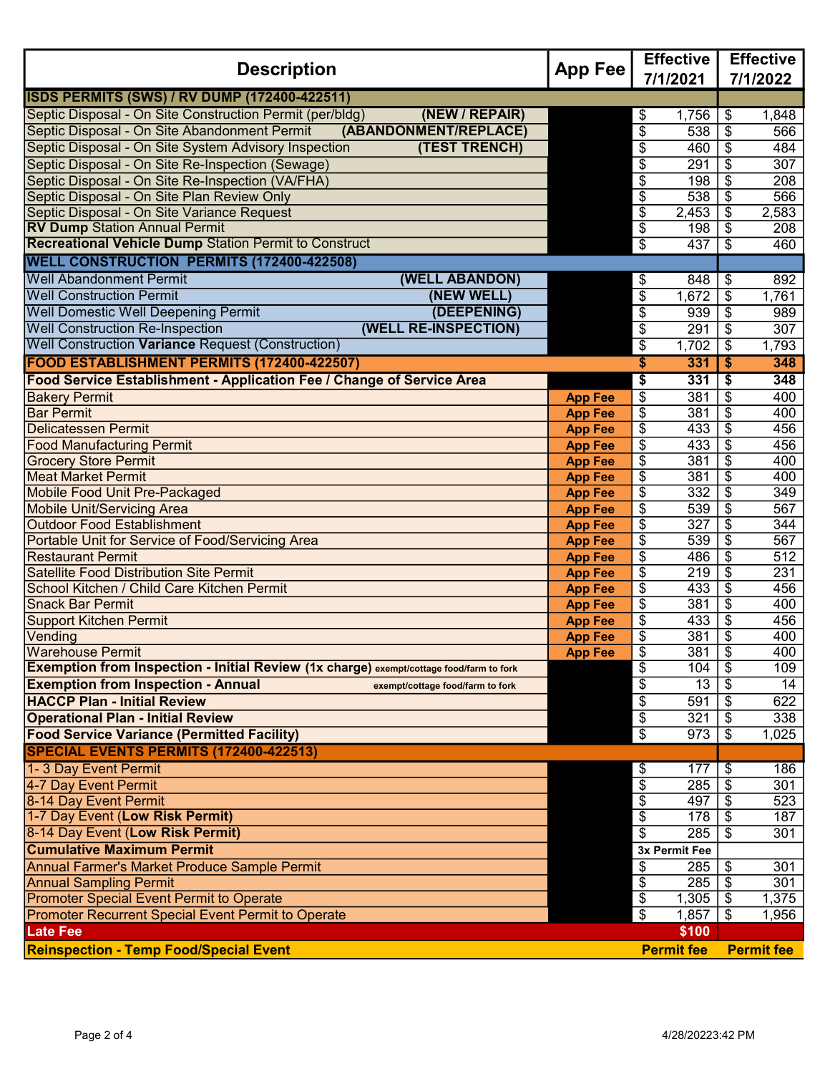| <b>Description</b>                                                                      |                | <b>Effective</b>                        | <b>Effective</b>                            |  |
|-----------------------------------------------------------------------------------------|----------------|-----------------------------------------|---------------------------------------------|--|
|                                                                                         |                | 7/1/2021                                | 7/1/2022                                    |  |
| <b>ISDS PERMITS (SWS) / RV DUMP (172400-422511)</b>                                     |                |                                         |                                             |  |
| Septic Disposal - On Site Construction Permit (per/bldg)<br>(NEW / REPAIR)              |                | 1,756<br>\$                             | 1,848<br>\$                                 |  |
| Septic Disposal - On Site Abandonment Permit<br>(ABANDONMENT/REPLACE)                   |                | $\overline{\$}$<br>538                  | 566<br>\$                                   |  |
| Septic Disposal - On Site System Advisory Inspection<br>(TEST TRENCH)                   |                | $\overline{\mathbf{e}}$<br>460          | 484<br>\$                                   |  |
| Septic Disposal - On Site Re-Inspection (Sewage)                                        |                | $\overline{\$}$<br>$\overline{291}$     | $\overline{307}$<br>\$                      |  |
| Septic Disposal - On Site Re-Inspection (VA/FHA)                                        |                | $\overline{\boldsymbol{\theta}}$<br>198 | \$<br>208                                   |  |
| Septic Disposal - On Site Plan Review Only                                              |                | $\overline{\$}$<br>538                  | 566<br>\$                                   |  |
| Septic Disposal - On Site Variance Request                                              |                | \$<br>2,453                             | $\overline{2,}583$<br>\$                    |  |
| <b>RV Dump Station Annual Permit</b>                                                    |                | $\overline{\mathcal{L}}$<br>198         | 208<br>\$                                   |  |
| <b>Recreational Vehicle Dump Station Permit to Construct</b>                            |                | $\overline{\$}$<br>437                  | 460<br>\$                                   |  |
| <b>WELL CONSTRUCTION PERMITS (172400-422508)</b>                                        |                |                                         |                                             |  |
| <b>Well Abandonment Permit</b><br>(WELL ABANDON)                                        |                | \$<br>848                               | \$<br>892                                   |  |
| <b>Well Construction Permit</b><br>(NEW WELL)                                           |                | $\overline{\$}$<br>1,672                | \$<br>1,761                                 |  |
| Well Domestic Well Deepening Permit<br>(DEEPENING)                                      |                | $\overline{\mathcal{E}}$<br>939         | \$<br>989                                   |  |
| <b>Well Construction Re-Inspection</b><br>(WELL RE-INSPECTION)                          |                | \$<br>291                               | \$<br>307                                   |  |
| Well Construction Variance Request (Construction)                                       |                | $\overline{\$}$<br>1,702                | $\overline{\mathcal{L}}$<br>1,793           |  |
| FOOD ESTABLISHMENT PERMITS (172400-422507)                                              |                | 331<br>\$                               | \$<br>348                                   |  |
| Food Service Establishment - Application Fee / Change of Service Area                   |                | $\overline{\boldsymbol{\theta}}$<br>331 | $\overline{\boldsymbol{\mathsf{s}}}$<br>348 |  |
| <b>Bakery Permit</b>                                                                    | <b>App Fee</b> | \$<br>381                               | \$<br>400                                   |  |
| <b>Bar Permit</b>                                                                       | <b>App Fee</b> | \$<br>381                               | \$<br>400                                   |  |
| <b>Delicatessen Permit</b>                                                              | <b>App Fee</b> | \$<br>433                               | \$<br>456                                   |  |
| <b>Food Manufacturing Permit</b>                                                        | <b>App Fee</b> | \$<br>433                               | \$<br>456                                   |  |
| <b>Grocery Store Permit</b>                                                             | <b>App Fee</b> | \$<br>381                               | \$<br>400                                   |  |
| <b>Meat Market Permit</b>                                                               | <b>App Fee</b> | \$<br>381                               | \$<br>400                                   |  |
| <b>Mobile Food Unit Pre-Packaged</b>                                                    | <b>App Fee</b> | \$<br>332                               | \$<br>349                                   |  |
| <b>Mobile Unit/Servicing Area</b>                                                       | <b>App Fee</b> | \$<br>539                               | \$<br>567                                   |  |
| <b>Outdoor Food Establishment</b>                                                       | <b>App Fee</b> | \$<br>327                               | \$<br>344                                   |  |
| Portable Unit for Service of Food/Servicing Area                                        | <b>App Fee</b> | \$<br>539                               | \$<br>567                                   |  |
| <b>Restaurant Permit</b>                                                                | <b>App Fee</b> | \$<br>486                               | \$<br>512                                   |  |
| Satellite Food Distribution Site Permit                                                 | <b>App Fee</b> | $\overline{\$}$<br>219                  | \$<br>231                                   |  |
| School Kitchen / Child Care Kitchen Permit                                              | <b>App Fee</b> | \$<br>433                               | \$<br>456                                   |  |
| <b>Snack Bar Permit</b>                                                                 | <b>App Fee</b> | \$<br>381                               | \$<br>400                                   |  |
| <b>Support Kitchen Permit</b>                                                           | <b>App Fee</b> | \$<br>433                               | 456<br>\$                                   |  |
| Vending<br><b>Warehouse Permit</b>                                                      | <b>App Fee</b> | \$<br>381<br>381<br>\$                  | 400<br>\$<br>\$<br>400                      |  |
| Exemption from Inspection - Initial Review (1x charge) exempt/cottage food/farm to fork | <b>App Fee</b> | \$<br>104                               | \$<br>109                                   |  |
| <b>Exemption from Inspection - Annual</b><br>exempt/cottage food/farm to fork           |                | $\overline{\$}$<br>13                   | 14                                          |  |
| <b>HACCP Plan - Initial Review</b>                                                      |                | $\overline{\$}$<br>591                  | \$<br>622<br>\$                             |  |
| <b>Operational Plan - Initial Review</b>                                                |                | $\overline{\$}$<br>321                  | 338<br>\$                                   |  |
| <b>Food Service Variance (Permitted Facility)</b>                                       |                | $\overline{\$}$<br>973                  | 1,025<br>\$                                 |  |
| SPECIAL EVENTS PERMITS (172400-422513)                                                  |                |                                         |                                             |  |
| 1-3 Day Event Permit                                                                    |                | 177<br>\$                               | \$<br>186                                   |  |
| 4-7 Day Event Permit                                                                    |                | \$<br>285                               | \$<br>301                                   |  |
| 8-14 Day Event Permit                                                                   |                | \$<br>497                               | \$<br>523                                   |  |
| 1-7 Day Event (Low Risk Permit)                                                         |                | \$<br>178                               | \$<br>187                                   |  |
| 8-14 Day Event (Low Risk Permit)                                                        |                | \$<br>285                               | \$<br>301                                   |  |
| <b>Cumulative Maximum Permit</b>                                                        |                | 3x Permit Fee                           |                                             |  |
| Annual Farmer's Market Produce Sample Permit                                            |                | \$<br>285                               | 301<br>\$                                   |  |
| <b>Annual Sampling Permit</b>                                                           |                | \$<br>285                               | \$<br>301                                   |  |
| <b>Promoter Special Event Permit to Operate</b>                                         |                | \$<br>1,305                             | \$<br>1,375                                 |  |
| Promoter Recurrent Special Event Permit to Operate                                      |                | \$<br>1,857                             | $\frac{1}{2}$<br>1,956                      |  |
| <b>Late Fee</b>                                                                         |                | \$100                                   |                                             |  |
| <b>Reinspection - Temp Food/Special Event</b>                                           |                | <b>Permit fee</b>                       | <b>Permit fee</b>                           |  |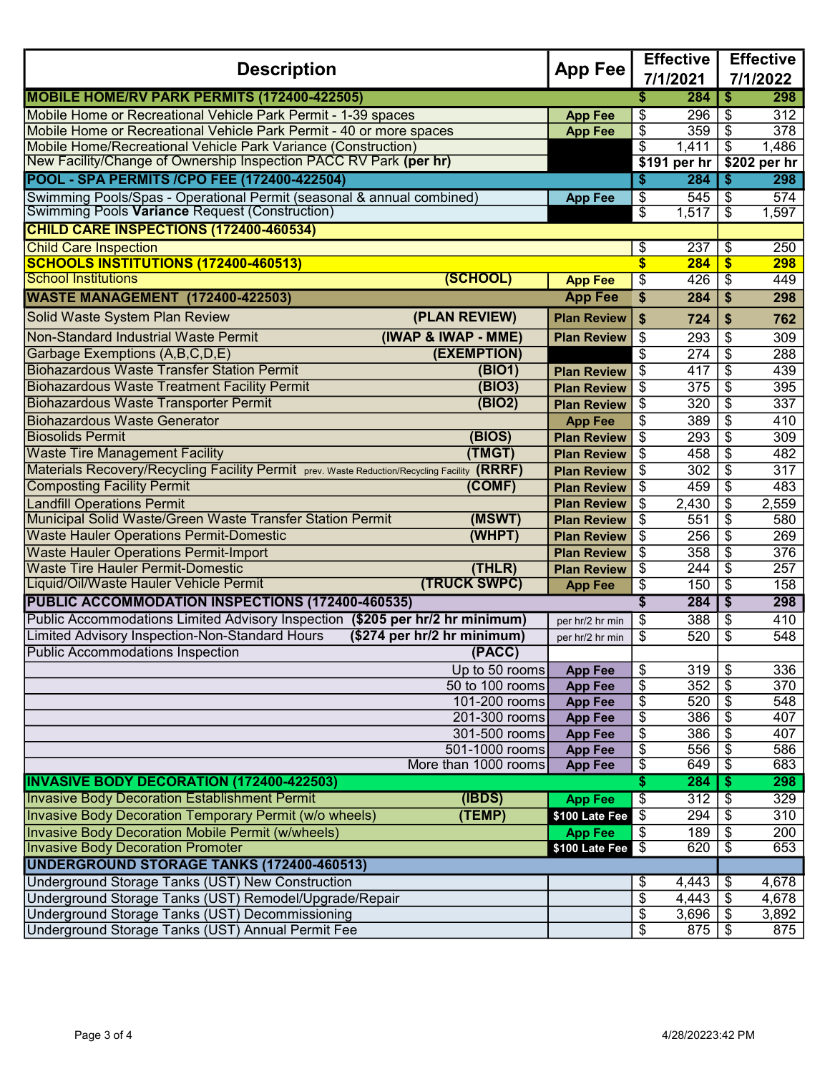| <b>Description</b>                                                                           | <b>App Fee</b>                         | <b>Effective</b>                 |                 | <b>Effective</b> |                                  |              |
|----------------------------------------------------------------------------------------------|----------------------------------------|----------------------------------|-----------------|------------------|----------------------------------|--------------|
|                                                                                              |                                        |                                  | 7/1/2021        |                  | 7/1/2022                         |              |
| MOBILE HOME/RV PARK PERMITS (172400-422505)                                                  |                                        |                                  | \$              | 284              | \$                               | 298          |
| Mobile Home or Recreational Vehicle Park Permit - 1-39 spaces                                |                                        | <b>App Fee</b>                   | \$              | 296              | \$                               | 312          |
| Mobile Home or Recreational Vehicle Park Permit - 40 or more spaces                          |                                        | <b>App Fee</b>                   | \$              | 359              | \$                               | 378          |
| Mobile Home/Recreational Vehicle Park Variance (Construction)                                |                                        |                                  | \$              | 1,411            | \$                               | 1,486        |
| New Facility/Change of Ownership Inspection PACC RV Park (per hr)                            |                                        |                                  |                 | \$191 per hr     |                                  | \$202 per hr |
| POOL - SPA PERMITS /CPO FEE (172400-422504)                                                  |                                        |                                  | \$              | 284              | \$                               | 298          |
| Swimming Pools/Spas - Operational Permit (seasonal & annual combined)                        |                                        | <b>App Fee</b>                   | \$              | 545              | \$                               | 574          |
| Swimming Pools Variance Request (Construction)                                               |                                        |                                  | \$              | 1,517            | $\overline{\mathcal{S}}$         | 1,597        |
| CHILD CARE INSPECTIONS (172400-460534)                                                       |                                        |                                  |                 |                  |                                  |              |
| <b>Child Care Inspection</b>                                                                 |                                        |                                  | \$              | 237              | \$                               | 250          |
| SCHOOLS INSTITUTIONS (172400-460513)                                                         |                                        |                                  | \$              | 284              | $\overline{\mathbf{S}}$          | 298          |
| <b>School Institutions</b>                                                                   | (SCHOOL)                               | <b>App Fee</b>                   | \$              | 426              | \$                               | 449          |
| <b>WASTE MANAGEMENT (172400-422503)</b>                                                      |                                        | <b>App Fee</b>                   | \$              | 284              | \$                               | 298          |
| Solid Waste System Plan Review                                                               | (PLAN REVIEW)                          | <b>Plan Review</b>               | \$              | 724              | \$                               | 762          |
| Non-Standard Industrial Waste Permit                                                         | (IWAP & IWAP - MME)                    | <b>Plan Review</b>               | \$              | 293              | \$                               | 309          |
| Garbage Exemptions (A,B,C,D,E)                                                               | (EXEMPTION)                            |                                  | \$              | 274              | \$                               | 288          |
| <b>Biohazardous Waste Transfer Station Permit</b>                                            | (BIO1)                                 | <b>Plan Review</b>               | \$              | 417              | $\overline{\mathcal{L}}$         | 439          |
| <b>Biohazardous Waste Treatment Facility Permit</b>                                          | (BIO3)                                 | <b>Plan Review</b>               | \$              | $\overline{375}$ | \$                               | 395          |
| <b>Biohazardous Waste Transporter Permit</b>                                                 | (BIO2)                                 | <b>Plan Review</b>               | \$              | 320              | $\overline{\mathcal{E}}$         | 337          |
| <b>Biohazardous Waste Generator</b>                                                          |                                        | <b>App Fee</b>                   | \$              | 389              | $\overline{\boldsymbol{\theta}}$ | 410          |
| <b>Biosolids Permit</b>                                                                      | (BIOS)                                 | <b>Plan Review</b>               | $\overline{\$}$ | 293              | $\overline{\$}$                  | 309          |
| <b>Waste Tire Management Facility</b>                                                        | (TMGT)                                 | <b>Plan Review</b>               | \$              | 458              | $\overline{\mathcal{E}}$         | 482          |
| Materials Recovery/Recycling Facility Permit prev. Waste Reduction/Recycling Facility (RRRF) |                                        | <b>Plan Review</b>               | \$              | 302              | $\overline{\boldsymbol{\theta}}$ | 317          |
| <b>Composting Facility Permit</b>                                                            | (COMF)                                 | <b>Plan Review</b>               | \$              | 459              | $\overline{\$}$                  | 483          |
| <b>Landfill Operations Permit</b>                                                            |                                        | <b>Plan Review</b>               | \$              | 2,430            | $\overline{\$}$                  | 2,559        |
| Municipal Solid Waste/Green Waste Transfer Station Permit                                    | (MSWT)                                 | <b>Plan Review</b>               | \$              | 551              | \$                               | 580          |
| <b>Waste Hauler Operations Permit-Domestic</b>                                               | (WHPT)                                 | <b>Plan Review</b>               | \$              | 256              | \$                               | 269          |
| <b>Waste Hauler Operations Permit-Import</b>                                                 |                                        | <b>Plan Review</b>               | \$              | 358              | \$                               | 376          |
| <b>Waste Tire Hauler Permit-Domestic</b>                                                     | (THEN)                                 | <b>Plan Review</b>               | \$              | 244              | $\overline{\$}$                  | 257          |
| Liquid/Oil/Waste Hauler Vehicle Permit                                                       | <b>(TRUCK SWPC)</b>                    | <b>App Fee</b>                   | \$              | 150              | $\overline{\boldsymbol{\theta}}$ | 158          |
| PUBLIC ACCOMMODATION INSPECTIONS (172400-460535)                                             |                                        |                                  | S               | 284              | \$                               | 298          |
| Public Accommodations Limited Advisory Inspection (\$205 per hr/2 hr minimum)                |                                        | per hr/2 hr min                  | \$              | 388              | \$                               | 410          |
| <b>Limited Advisory Inspection-Non-Standard Hours</b>                                        | (\$274 per hr/2 hr minimum)            | per hr/2 hr min                  | \$              | 520              | \$                               | 548          |
| Public Accommodations Inspection                                                             | (PACC)                                 |                                  |                 |                  |                                  |              |
|                                                                                              | Up to 50 rooms                         | <b>App Fee</b>                   | \$              | 319              | $\frac{1}{2}$                    | 336          |
|                                                                                              | $50$ to $100$ rooms                    | <b>App Fee</b>                   | \$              | 352              | \$                               | 370          |
|                                                                                              | 101-200 rooms                          | <b>App Fee</b>                   | $\overline{\$}$ | 520              | $\overline{\mathcal{F}}$         | 548          |
|                                                                                              | 201-300 rooms                          | <b>App Fee</b>                   | \$              | 386              | $\frac{1}{2}$                    | 407          |
|                                                                                              | 301-500 rooms                          | <b>App Fee</b>                   | \$              | 386              | \$                               | 407          |
|                                                                                              | 501-1000 rooms<br>More than 1000 rooms | <b>App Fee</b><br><b>App Fee</b> | \$<br>\$        | 556<br>649       | \$<br>\$                         | 586<br>683   |
| <b>INVASIVE BODY DECORATION (172400-422503)</b>                                              |                                        |                                  | \$              | 284              | $\overline{\bullet}$             | 298          |
| <b>Invasive Body Decoration Establishment Permit</b>                                         | (IBDS)                                 | <b>App Fee</b>                   | \$              | 312              | $\overline{\mathcal{F}}$         | 329          |
| <b>Invasive Body Decoration Temporary Permit (w/o wheels)</b>                                | (TEMP)                                 | \$100 Late Fee                   | \$              | 294              | $\frac{3}{2}$                    | 310          |
| <b>Invasive Body Decoration Mobile Permit (w/wheels)</b>                                     |                                        | <b>App Fee</b>                   | \$              | 189              | $\frac{1}{2}$                    | 200          |
| <b>Invasive Body Decoration Promoter</b>                                                     |                                        | \$100 Late Fee                   | $\sqrt{3}$      | 620              | $\sqrt[6]{3}$                    | 653          |
| UNDERGROUND STORAGE TANKS (172400-460513)                                                    |                                        |                                  |                 |                  |                                  |              |
| Underground Storage Tanks (UST) New Construction                                             |                                        |                                  | \$              | 4,443            | \$                               | 4,678        |
| Underground Storage Tanks (UST) Remodel/Upgrade/Repair                                       |                                        |                                  | \$              | 4,443            | \$                               | 4,678        |
| <b>Underground Storage Tanks (UST) Decommissioning</b>                                       |                                        |                                  | \$              |                  |                                  | 3,892        |
| Underground Storage Tanks (UST) Annual Permit Fee                                            |                                        |                                  | $\overline{\$}$ | $875$ \ $\sqrt$$ |                                  | 875          |